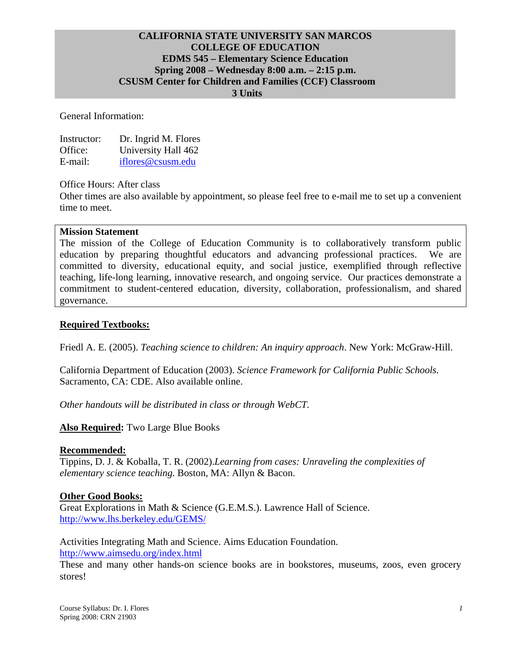#### **CALIFORNIA STATE UNIVERSITY SAN MARCOS COLLEGE OF EDUCATION EDMS 545 – Elementary Science Education Spring 2008 – Wednesday 8:00 a.m. – 2:15 p.m. CSUSM Center for Children and Families (CCF) Classroom 3 Units**

General Information:

| Instructor: | Dr. Ingrid M. Flores |
|-------------|----------------------|
| Office:     | University Hall 462  |
| E-mail:     | iflores@csusm.edu    |

Office Hours: After class

Other times are also available by appointment, so please feel free to e-mail me to set up a convenient time to meet.

#### **Mission Statement**

The mission of the College of Education Community is to collaboratively transform public education by preparing thoughtful educators and advancing professional practices. We are committed to diversity, educational equity, and social justice, exemplified through reflective teaching, life-long learning, innovative research, and ongoing service. Our practices demonstrate a commitment to student-centered education, diversity, collaboration, professionalism, and shared governance.

#### **Required Textbooks:**

Friedl A. E. (2005). *Teaching science to children: An inquiry approach*. New York: McGraw-Hill.

California Department of Education (2003). *Science Framework for California Public Schools.* Sacramento, CA: CDE. Also available online.

*Other handouts will be distributed in class or through WebCT.* 

#### **Also Required:** Two Large Blue Books

#### **Recommended:**

Tippins, D. J. & Koballa, T. R. (2002).*Learning from cases: Unraveling the complexities of elementary science teaching*. Boston, MA: Allyn & Bacon.

#### **Other Good Books:**

Great Explorations in Math & Science (G.E.M.S.). Lawrence Hall of Science. http://www.lhs.berkeley.edu/GEMS/

Activities Integrating Math and Science. Aims Education Foundation. http://www.aimsedu.org/index.html

These and many other hands-on science books are in bookstores, museums, zoos, even grocery stores!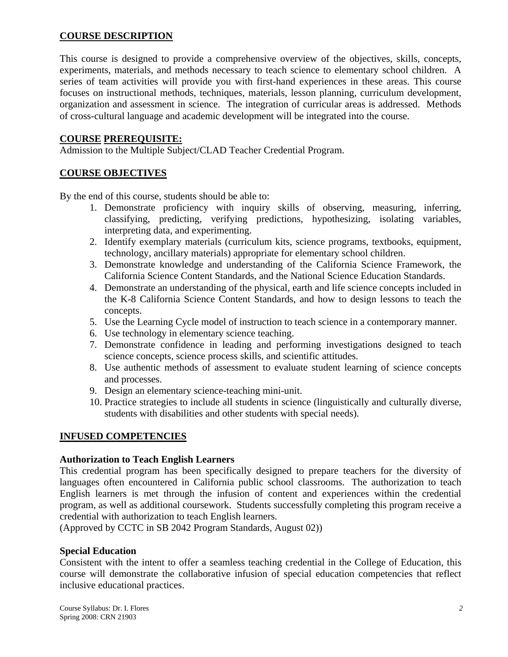## **COURSE DESCRIPTION**

This course is designed to provide a comprehensive overview of the objectives, skills, concepts, experiments, materials, and methods necessary to teach science to elementary school children. A series of team activities will provide you with first-hand experiences in these areas. This course focuses on instructional methods, techniques, materials, lesson planning, curriculum development, organization and assessment in science. The integration of curricular areas is addressed. Methods of cross-cultural language and academic development will be integrated into the course.

### **COURSE PREREQUISITE:**

Admission to the Multiple Subject/CLAD Teacher Credential Program.

## **COURSE OBJECTIVES**

By the end of this course, students should be able to:

- 1. Demonstrate proficiency with inquiry skills of observing, measuring, inferring, classifying, predicting, verifying predictions, hypothesizing, isolating variables, interpreting data, and experimenting.
- 2. Identify exemplary materials (curriculum kits, science programs, textbooks, equipment, technology, ancillary materials) appropriate for elementary school children.
- 3. Demonstrate knowledge and understanding of the California Science Framework, the California Science Content Standards, and the National Science Education Standards.
- 4. Demonstrate an understanding of the physical, earth and life science concepts included in the K-8 California Science Content Standards, and how to design lessons to teach the concepts.
- 5. Use the Learning Cycle model of instruction to teach science in a contemporary manner.
- 6. Use technology in elementary science teaching.
- 7. Demonstrate confidence in leading and performing investigations designed to teach science concepts, science process skills, and scientific attitudes.
- 8. Use authentic methods of assessment to evaluate student learning of science concepts and processes.
- 9. Design an elementary science-teaching mini-unit.
- 10. Practice strategies to include all students in science (linguistically and culturally diverse, students with disabilities and other students with special needs).

#### **INFUSED COMPETENCIES**

#### **Authorization to Teach English Learners**

This credential program has been specifically designed to prepare teachers for the diversity of languages often encountered in California public school classrooms. The authorization to teach English learners is met through the infusion of content and experiences within the credential program, as well as additional coursework. Students successfully completing this program receive a credential with authorization to teach English learners.

(Approved by CCTC in SB 2042 Program Standards, August 02))

## **Special Education**

Consistent with the intent to offer a seamless teaching credential in the College of Education, this course will demonstrate the collaborative infusion of special education competencies that reflect inclusive educational practices.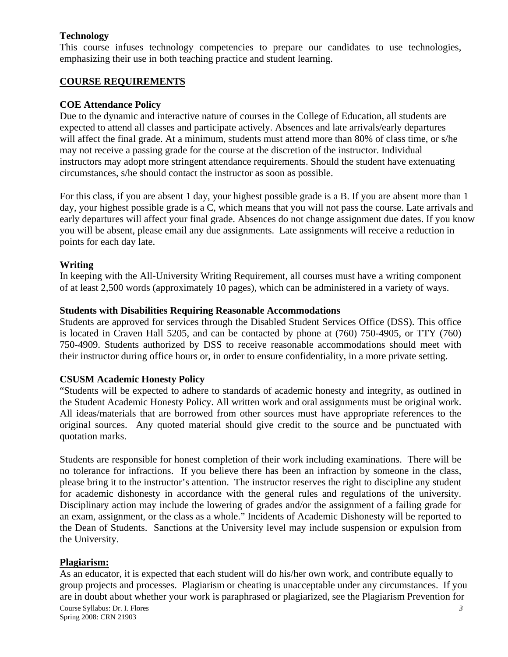## **Technology**

This course infuses technology competencies to prepare our candidates to use technologies, emphasizing their use in both teaching practice and student learning.

## **COURSE REQUIREMENTS**

## **COE Attendance Policy**

Due to the dynamic and interactive nature of courses in the College of Education, all students are expected to attend all classes and participate actively. Absences and late arrivals/early departures will affect the final grade. At a minimum, students must attend more than 80% of class time, or s/he may not receive a passing grade for the course at the discretion of the instructor. Individual instructors may adopt more stringent attendance requirements. Should the student have extenuating circumstances, s/he should contact the instructor as soon as possible.

For this class, if you are absent 1 day, your highest possible grade is a B. If you are absent more than 1 day, your highest possible grade is a C, which means that you will not pass the course. Late arrivals and early departures will affect your final grade. Absences do not change assignment due dates. If you know you will be absent, please email any due assignments. Late assignments will receive a reduction in points for each day late.

## **Writing**

In keeping with the All-University Writing Requirement, all courses must have a writing component of at least 2,500 words (approximately 10 pages), which can be administered in a variety of ways.

## **Students with Disabilities Requiring Reasonable Accommodations**

Students are approved for services through the Disabled Student Services Office (DSS). This office is located in Craven Hall 5205, and can be contacted by phone at (760) 750-4905, or TTY (760) 750-4909. Students authorized by DSS to receive reasonable accommodations should meet with their instructor during office hours or, in order to ensure confidentiality, in a more private setting.

## **CSUSM Academic Honesty Policy**

"Students will be expected to adhere to standards of academic honesty and integrity, as outlined in the Student Academic Honesty Policy. All written work and oral assignments must be original work. All ideas/materials that are borrowed from other sources must have appropriate references to the original sources. Any quoted material should give credit to the source and be punctuated with quotation marks.

Students are responsible for honest completion of their work including examinations. There will be no tolerance for infractions. If you believe there has been an infraction by someone in the class, please bring it to the instructor's attention. The instructor reserves the right to discipline any student for academic dishonesty in accordance with the general rules and regulations of the university. Disciplinary action may include the lowering of grades and/or the assignment of a failing grade for an exam, assignment, or the class as a whole." Incidents of Academic Dishonesty will be reported to the Dean of Students. Sanctions at the University level may include suspension or expulsion from the University.

## **Plagiarism:**

Course Syllabus: Dr. I. Flores *3* As an educator, it is expected that each student will do his/her own work, and contribute equally to group projects and processes. Plagiarism or cheating is unacceptable under any circumstances. If you are in doubt about whether your work is paraphrased or plagiarized, see the Plagiarism Prevention for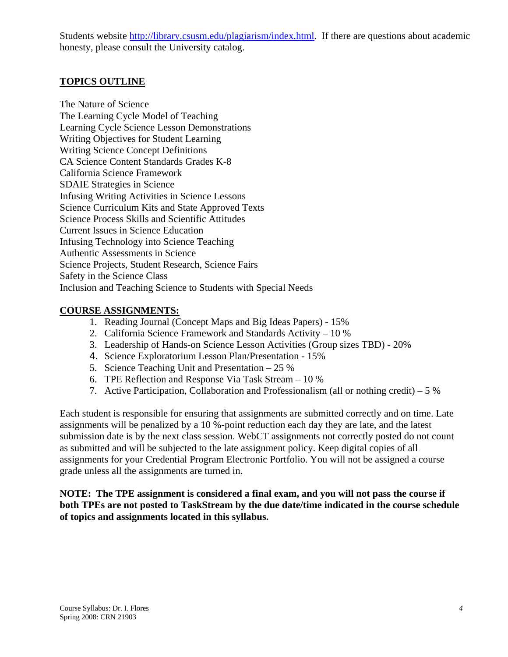Students website http://library.csusm.edu/plagiarism/index.html. If there are questions about academic honesty, please consult the University catalog.

## **TOPICS OUTLINE**

The Nature of Science The Learning Cycle Model of Teaching Learning Cycle Science Lesson Demonstrations Writing Objectives for Student Learning Writing Science Concept Definitions CA Science Content Standards Grades K-8 California Science Framework SDAIE Strategies in Science Infusing Writing Activities in Science Lessons Science Curriculum Kits and State Approved Texts Science Process Skills and Scientific Attitudes Current Issues in Science Education Infusing Technology into Science Teaching Authentic Assessments in Science Science Projects, Student Research, Science Fairs Safety in the Science Class Inclusion and Teaching Science to Students with Special Needs

## **COURSE ASSIGNMENTS:**

- 1. Reading Journal (Concept Maps and Big Ideas Papers) 15%
- 2. California Science Framework and Standards Activity 10 %
- 3. Leadership of Hands-on Science Lesson Activities (Group sizes TBD) 20%
- 4. Science Exploratorium Lesson Plan/Presentation 15%
- 5. Science Teaching Unit and Presentation 25 %
- 6. TPE Reflection and Response Via Task Stream 10 %
- 7. Active Participation, Collaboration and Professionalism (all or nothing credit) 5 %

Each student is responsible for ensuring that assignments are submitted correctly and on time. Late assignments will be penalized by a 10 %-point reduction each day they are late, and the latest submission date is by the next class session. WebCT assignments not correctly posted do not count as submitted and will be subjected to the late assignment policy. Keep digital copies of all assignments for your Credential Program Electronic Portfolio. You will not be assigned a course grade unless all the assignments are turned in.

**NOTE: The TPE assignment is considered a final exam, and you will not pass the course if both TPEs are not posted to TaskStream by the due date/time indicated in the course schedule of topics and assignments located in this syllabus.**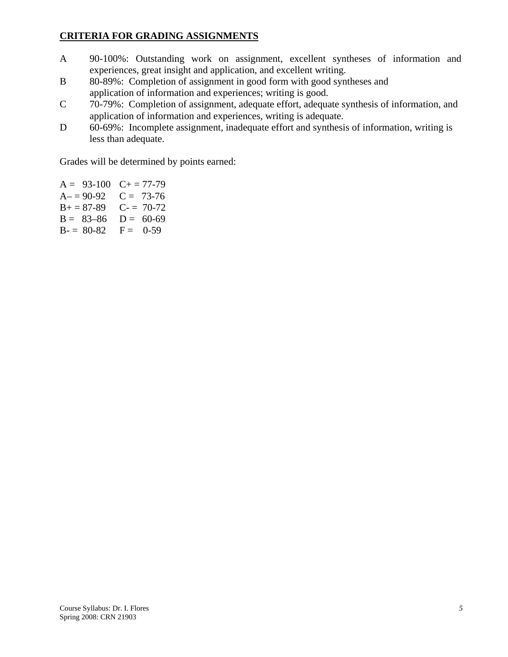## **CRITERIA FOR GRADING ASSIGNMENTS**

- A 90-100%: Outstanding work on assignment, excellent syntheses of information and experiences, great insight and application, and excellent writing.
- B 80-89%: Completion of assignment in good form with good syntheses and application of information and experiences; writing is good.
- C 70-79%: Completion of assignment, adequate effort, adequate synthesis of information, and application of information and experiences, writing is adequate.
- D 60-69%: Incomplete assignment, inadequate effort and synthesis of information, writing is less than adequate.

Grades will be determined by points earned:

 $A = 93-100$   $C + 77-79$  $A = 90-92$   $C = 73-76$  $B+=87-89$  C- = 70-72  $B = 83-86$   $D = 60-69$  $B = 80-82$   $F = 0-59$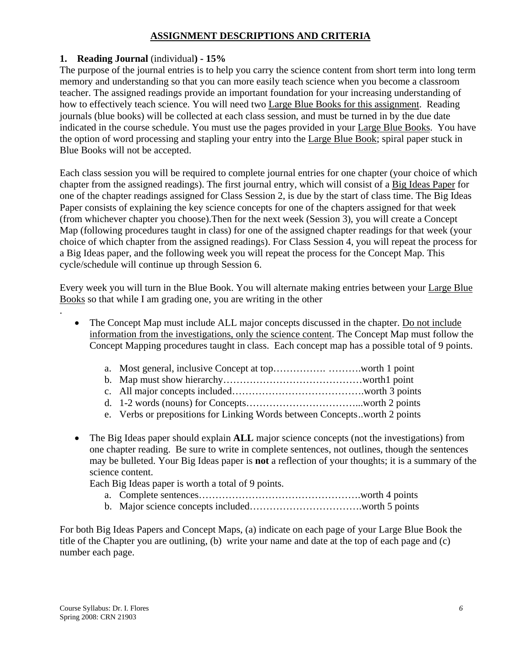## **ASSIGNMENT DESCRIPTIONS AND CRITERIA**

## **1. Reading Journal** (individual**) - 15%**

The purpose of the journal entries is to help you carry the science content from short term into long term memory and understanding so that you can more easily teach science when you become a classroom teacher. The assigned readings provide an important foundation for your increasing understanding of how to effectively teach science. You will need two Large Blue Books for this assignment. Reading journals (blue books) will be collected at each class session, and must be turned in by the due date indicated in the course schedule. You must use the pages provided in your Large Blue Books. You have the option of word processing and stapling your entry into the Large Blue Book; spiral paper stuck in Blue Books will not be accepted.

Each class session you will be required to complete journal entries for one chapter (your choice of which chapter from the assigned readings). The first journal entry, which will consist of a Big Ideas Paper for one of the chapter readings assigned for Class Session 2, is due by the start of class time. The Big Ideas Paper consists of explaining the key science concepts for one of the chapters assigned for that week (from whichever chapter you choose).Then for the next week (Session 3), you will create a Concept Map (following procedures taught in class) for one of the assigned chapter readings for that week (your choice of which chapter from the assigned readings). For Class Session 4, you will repeat the process for a Big Ideas paper, and the following week you will repeat the process for the Concept Map. This cycle/schedule will continue up through Session 6.

Every week you will turn in the Blue Book. You will alternate making entries between your Large Blue Books so that while I am grading one, you are writing in the other

- The Concept Map must include ALL major concepts discussed in the chapter. Do not include information from the investigations, only the science content. The Concept Map must follow the Concept Mapping procedures taught in class. Each concept map has a possible total of 9 points.
	- a. Most general, inclusive Concept at top……………. ……….worth 1 point
	- b. Map must show hierarchy……………………………………worth1 point
	- c. All major concepts included………………………………….worth 3 points
	- d. 1-2 words (nouns) for Concepts……………………………...worth 2 points
	- e. Verbs or prepositions for Linking Words between Concepts ..worth 2 points
- The Big Ideas paper should explain **ALL** major science concepts (not the investigations) from one chapter reading. Be sure to write in complete sentences, not outlines, though the sentences may be bulleted. Your Big Ideas paper is **not** a reflection of your thoughts; it is a summary of the science content.

Each Big Ideas paper is worth a total of 9 points.

- a. Complete sentences………………………………………….worth 4 points
- b. Major science concepts included…………………………….worth 5 points

For both Big Ideas Papers and Concept Maps, (a) indicate on each page of your Large Blue Book the title of the Chapter you are outlining, (b) write your name and date at the top of each page and (c) number each page.

.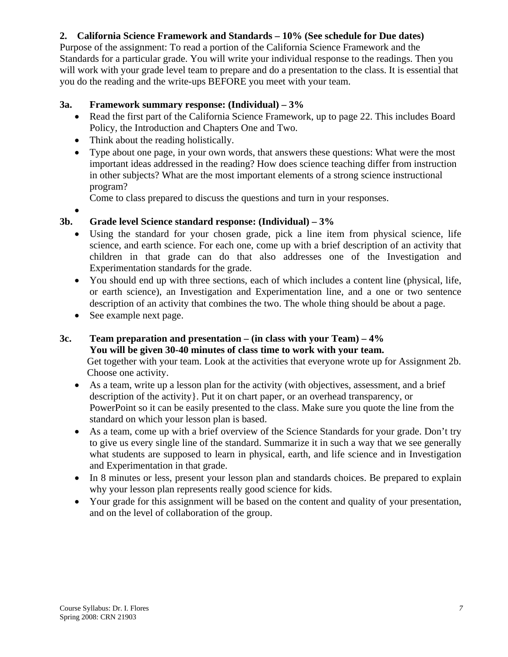# **2. California Science Framework and Standards – 10% (See schedule for Due dates)**

Purpose of the assignment: To read a portion of the California Science Framework and the Standards for a particular grade. You will write your individual response to the readings. Then you will work with your grade level team to prepare and do a presentation to the class. It is essential that you do the reading and the write-ups BEFORE you meet with your team.

## **3a. Framework summary response: (Individual) – 3%**

- Read the first part of the California Science Framework, up to page 22. This includes Board Policy, the Introduction and Chapters One and Two.
- Think about the reading holistically.
- Type about one page, in your own words, that answers these questions: What were the most important ideas addressed in the reading? How does science teaching differ from instruction in other subjects? What are the most important elements of a strong science instructional program?

Come to class prepared to discuss the questions and turn in your responses.

•

## **3b. Grade level Science standard response: (Individual) – 3%**

- Using the standard for your chosen grade, pick a line item from physical science, life science, and earth science. For each one, come up with a brief description of an activity that children in that grade can do that also addresses one of the Investigation and Experimentation standards for the grade.
- You should end up with three sections, each of which includes a content line (physical, life, or earth science), an Investigation and Experimentation line, and a one or two sentence description of an activity that combines the two. The whole thing should be about a page.
- See example next page.

## **3c. Team preparation and presentation – (in class with your Team) – 4% You will be given 30-40 minutes of class time to work with your team.**  Get together with your team. Look at the activities that everyone wrote up for Assignment 2b. Choose one activity.

- As a team, write up a lesson plan for the activity (with objectives, assessment, and a brief description of the activity}. Put it on chart paper, or an overhead transparency, or PowerPoint so it can be easily presented to the class. Make sure you quote the line from the standard on which your lesson plan is based.
- As a team, come up with a brief overview of the Science Standards for your grade. Don't try to give us every single line of the standard. Summarize it in such a way that we see generally what students are supposed to learn in physical, earth, and life science and in Investigation and Experimentation in that grade.
- In 8 minutes or less, present your lesson plan and standards choices. Be prepared to explain why your lesson plan represents really good science for kids.
- Your grade for this assignment will be based on the content and quality of your presentation, and on the level of collaboration of the group.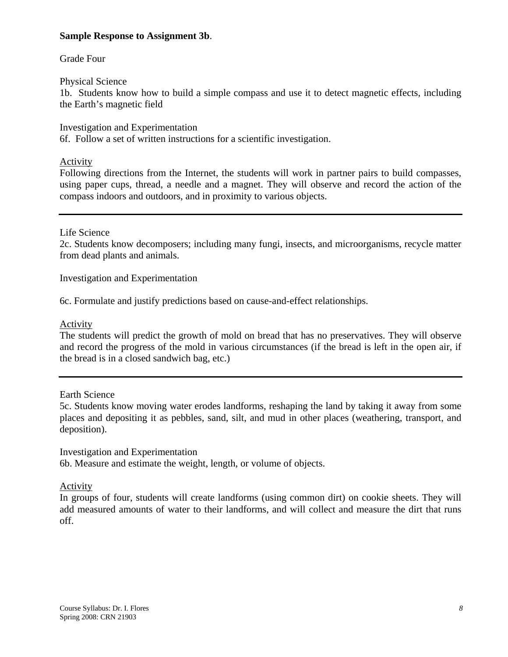### **Sample Response to Assignment 3b**.

### Grade Four

### Physical Science

1b. Students know how to build a simple compass and use it to detect magnetic effects, including the Earth's magnetic field

Investigation and Experimentation 6f. Follow a set of written instructions for a scientific investigation.

### Activity

Following directions from the Internet, the students will work in partner pairs to build compasses, using paper cups, thread, a needle and a magnet. They will observe and record the action of the compass indoors and outdoors, and in proximity to various objects.

### Life Science

2c. Students know decomposers; including many fungi, insects, and microorganisms, recycle matter from dead plants and animals.

Investigation and Experimentation

6c. Formulate and justify predictions based on cause-and-effect relationships.

### Activity

The students will predict the growth of mold on bread that has no preservatives. They will observe and record the progress of the mold in various circumstances (if the bread is left in the open air, if the bread is in a closed sandwich bag, etc.)

Earth Science

5c. Students know moving water erodes landforms, reshaping the land by taking it away from some places and depositing it as pebbles, sand, silt, and mud in other places (weathering, transport, and deposition).

Investigation and Experimentation

6b. Measure and estimate the weight, length, or volume of objects.

#### **Activity**

In groups of four, students will create landforms (using common dirt) on cookie sheets. They will add measured amounts of water to their landforms, and will collect and measure the dirt that runs off.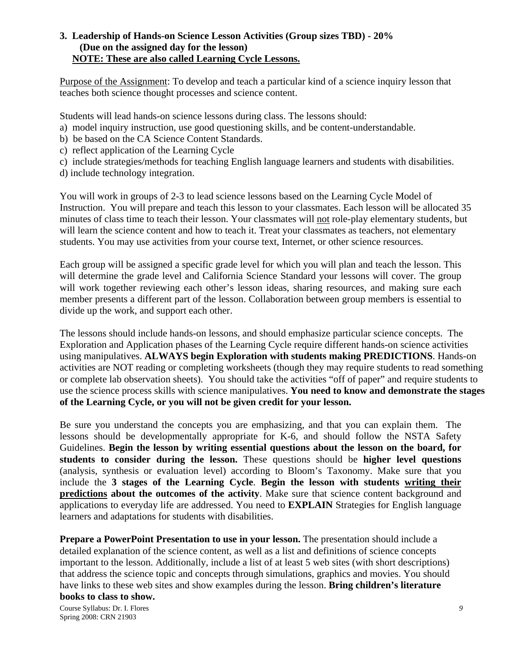### **3.****Leadership of Hands-on Science Lesson Activities (Group sizes TBD) - 20% (Due on the assigned day for the lesson) NOTE: These are also called Learning Cycle Lessons.**

Purpose of the Assignment: To develop and teach a particular kind of a science inquiry lesson that teaches both science thought processes and science content.

Students will lead hands-on science lessons during class. The lessons should:

- a) model inquiry instruction, use good questioning skills, and be content-understandable.
- b) be based on the CA Science Content Standards.
- c) reflect application of the Learning Cycle
- c) include strategies/methods for teaching English language learners and students with disabilities.
- d) include technology integration.

You will work in groups of 2-3 to lead science lessons based on the Learning Cycle Model of Instruction. You will prepare and teach this lesson to your classmates. Each lesson will be allocated 35 minutes of class time to teach their lesson. Your classmates will not role-play elementary students, but will learn the science content and how to teach it. Treat your classmates as teachers, not elementary students. You may use activities from your course text, Internet, or other science resources.

Each group will be assigned a specific grade level for which you will plan and teach the lesson. This will determine the grade level and California Science Standard your lessons will cover. The group will work together reviewing each other's lesson ideas, sharing resources, and making sure each member presents a different part of the lesson. Collaboration between group members is essential to divide up the work, and support each other.

The lessons should include hands-on lessons, and should emphasize particular science concepts. The Exploration and Application phases of the Learning Cycle require different hands-on science activities using manipulatives. **ALWAYS begin Exploration with students making PREDICTIONS**. Hands-on activities are NOT reading or completing worksheets (though they may require students to read something or complete lab observation sheets). You should take the activities "off of paper" and require students to use the science process skills with science manipulatives. **You need to know and demonstrate the stages of the Learning Cycle, or you will not be given credit for your lesson.**

Be sure you understand the concepts you are emphasizing, and that you can explain them. The lessons should be developmentally appropriate for K-6, and should follow the NSTA Safety Guidelines. **Begin the lesson by writing essential questions about the lesson on the board, for students to consider during the lesson.** These questions should be **higher level questions** (analysis, synthesis or evaluation level) according to Bloom's Taxonomy. Make sure that you include the **3 stages of the Learning Cycle**. **Begin the lesson with students writing their predictions about the outcomes of the activity**. Make sure that science content background and applications to everyday life are addressed. You need to **EXPLAIN** Strategies for English language learners and adaptations for students with disabilities.

**Prepare a PowerPoint Presentation to use in your lesson.** The presentation should include a detailed explanation of the science content, as well as a list and definitions of science concepts important to the lesson. Additionally, include a list of at least 5 web sites (with short descriptions) that address the science topic and concepts through simulations, graphics and movies. You should have links to these web sites and show examples during the lesson. **Bring children's literature books to class to show.**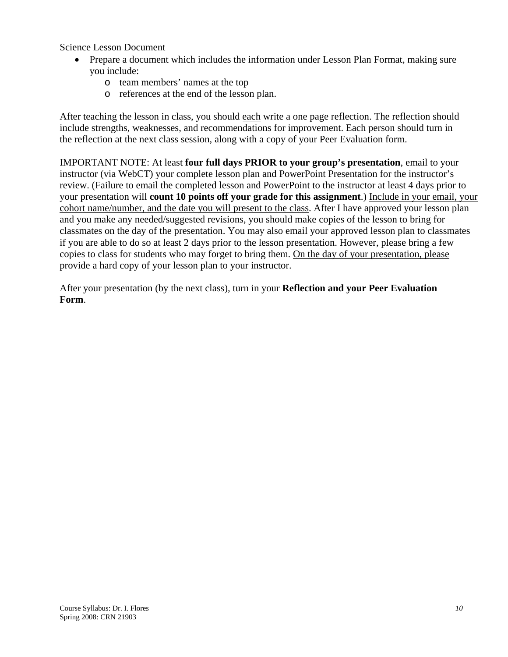Science Lesson Document

- Prepare a document which includes the information under Lesson Plan Format, making sure you include:
	- o team members' names at the top
	- o references at the end of the lesson plan.

After teaching the lesson in class, you should each write a one page reflection. The reflection should include strengths, weaknesses, and recommendations for improvement. Each person should turn in the reflection at the next class session, along with a copy of your Peer Evaluation form.

IMPORTANT NOTE: At least **four full days PRIOR to your group's presentation**, email to your instructor (via WebCT) your complete lesson plan and PowerPoint Presentation for the instructor's review. (Failure to email the completed lesson and PowerPoint to the instructor at least 4 days prior to your presentation will **count 10 points off your grade for this assignment**.) Include in your email, your cohort name/number, and the date you will present to the class. After I have approved your lesson plan and you make any needed/suggested revisions, you should make copies of the lesson to bring for classmates on the day of the presentation. You may also email your approved lesson plan to classmates if you are able to do so at least 2 days prior to the lesson presentation. However, please bring a few copies to class for students who may forget to bring them. On the day of your presentation, please provide a hard copy of your lesson plan to your instructor.

After your presentation (by the next class), turn in your **Reflection and your Peer Evaluation Form**.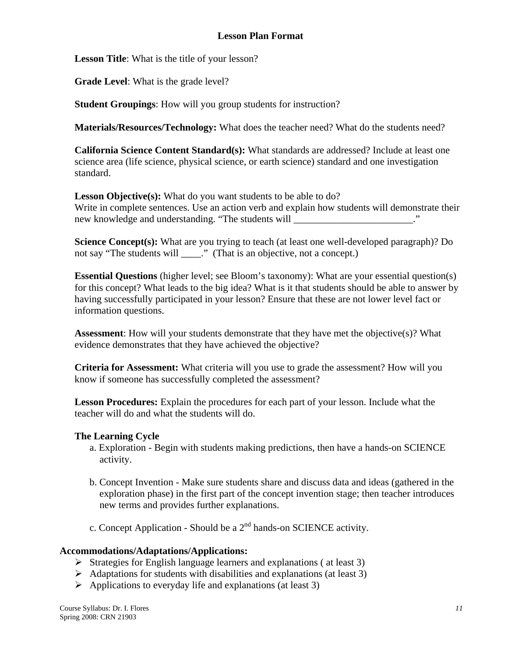## **Lesson Plan Format**

**Lesson Title**: What is the title of your lesson?

**Grade Level**: What is the grade level?

**Student Groupings**: How will you group students for instruction?

**Materials/Resources/Technology:** What does the teacher need? What do the students need?

**California Science Content Standard(s):** What standards are addressed? Include at least one science area (life science, physical science, or earth science) standard and one investigation standard.

Lesson Objective(s): What do you want students to be able to do? Write in complete sentences. Use an action verb and explain how students will demonstrate their new knowledge and understanding. "The students will \_\_\_\_\_\_\_\_\_\_\_\_\_\_\_\_\_\_\_\_\_\_\_."

**Science Concept(s):** What are you trying to teach (at least one well-developed paragraph)? Do not say "The students will \_\_\_\_." (That is an objective, not a concept.)

**Essential Questions** (higher level; see Bloom's taxonomy): What are your essential question(s) for this concept? What leads to the big idea? What is it that students should be able to answer by having successfully participated in your lesson? Ensure that these are not lower level fact or information questions.

**Assessment**: How will your students demonstrate that they have met the objective(s)? What evidence demonstrates that they have achieved the objective?

**Criteria for Assessment:** What criteria will you use to grade the assessment? How will you know if someone has successfully completed the assessment?

**Lesson Procedures:** Explain the procedures for each part of your lesson. Include what the teacher will do and what the students will do.

#### **The Learning Cycle**

- a. Exploration Begin with students making predictions, then have a hands-on SCIENCE activity.
- b. Concept Invention Make sure students share and discuss data and ideas (gathered in the exploration phase) in the first part of the concept invention stage; then teacher introduces new terms and provides further explanations.
- c. Concept Application Should be a  $2<sup>nd</sup>$  hands-on SCIENCE activity.

#### **Accommodations/Adaptations/Applications:**

- $\triangleright$  Strategies for English language learners and explanations (at least 3)
- $\triangleright$  Adaptations for students with disabilities and explanations (at least 3)
- $\triangleright$  Applications to everyday life and explanations (at least 3)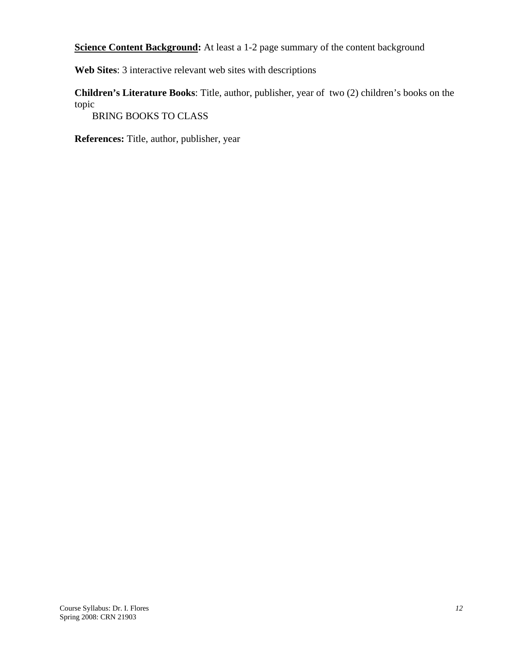**Science Content Background:** At least a 1-2 page summary of the content background

**Web Sites**: 3 interactive relevant web sites with descriptions

**Children's Literature Books**: Title, author, publisher, year of two (2) children's books on the topic

BRING BOOKS TO CLASS

**References:** Title, author, publisher, year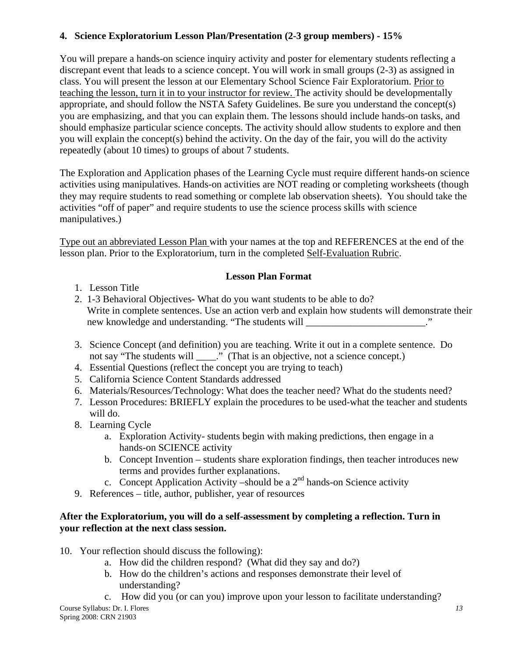# **4. Science Exploratorium Lesson Plan/Presentation (2-3 group members) - 15%**

You will prepare a hands-on science inquiry activity and poster for elementary students reflecting a discrepant event that leads to a science concept. You will work in small groups (2-3) as assigned in class. You will present the lesson at our Elementary School Science Fair Exploratorium. Prior to teaching the lesson, turn it in to your instructor for review. The activity should be developmentally appropriate, and should follow the NSTA Safety Guidelines. Be sure you understand the concept(s) you are emphasizing, and that you can explain them. The lessons should include hands-on tasks, and should emphasize particular science concepts. The activity should allow students to explore and then you will explain the concept(s) behind the activity. On the day of the fair, you will do the activity repeatedly (about 10 times) to groups of about 7 students.

The Exploration and Application phases of the Learning Cycle must require different hands-on science activities using manipulatives. Hands-on activities are NOT reading or completing worksheets (though they may require students to read something or complete lab observation sheets). You should take the activities "off of paper" and require students to use the science process skills with science manipulatives.)

Type out an abbreviated Lesson Plan with your names at the top and REFERENCES at the end of the lesson plan. Prior to the Exploratorium, turn in the completed Self-Evaluation Rubric.

## **Lesson Plan Format**

- 1. Lesson Title
- 2. 1-3 Behavioral ObjectivesWhat do you want students to be able to do? Write in complete sentences. Use an action verb and explain how students will demonstrate their new knowledge and understanding. "The students will \_\_\_\_\_\_\_\_\_\_\_\_\_\_\_\_\_\_\_\_\_\_."
- 3. Science Concept (and definition) you are teaching. Write it out in a complete sentence. Do not say "The students will \_\_\_\_." (That is an objective, not a science concept.)
- 4. Essential Questions (reflect the concept you are trying to teach)
- 5. California Science Content Standards addressed
- 6. Materials/Resources/Technology: What does the teacher need? What do the students need?
- 7. Lesson Procedures: BRIEFLY explain the procedures to be used-what the teacher and students will do.
- 8. Learning Cycle
	- a. Exploration Activity- students begin with making predictions, then engage in a hands-on SCIENCE activity
	- b. Concept Invention students share exploration findings, then teacher introduces new terms and provides further explanations.
	- c. Concept Application Activity –should be a  $2<sup>nd</sup>$  hands-on Science activity
- 9. References title, author, publisher, year of resources

## **After the Exploratorium, you will do a self-assessment by completing a reflection. Turn in your reflection at the next class session.**

- 10. Your reflection should discuss the following):
	- a. How did the children respond? (What did they say and do?)
	- b. How do the children's actions and responses demonstrate their level of understanding?
	- c. How did you (or can you) improve upon your lesson to facilitate understanding?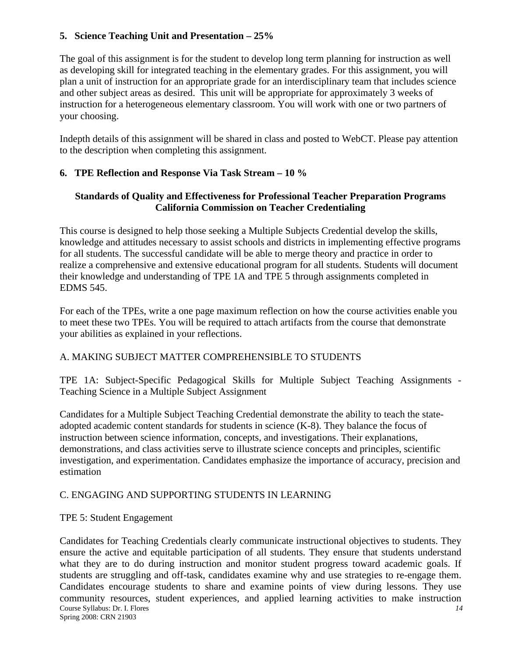## **5. Science Teaching Unit and Presentation – 25%**

The goal of this assignment is for the student to develop long term planning for instruction as well as developing skill for integrated teaching in the elementary grades. For this assignment, you will plan a unit of instruction for an appropriate grade for an interdisciplinary team that includes science and other subject areas as desired. This unit will be appropriate for approximately 3 weeks of instruction for a heterogeneous elementary classroom. You will work with one or two partners of your choosing.

Indepth details of this assignment will be shared in class and posted to WebCT. Please pay attention to the description when completing this assignment.

## **6. TPE Reflection and Response Via Task Stream – 10 %**

## **Standards of Quality and Effectiveness for Professional Teacher Preparation Programs California Commission on Teacher Credentialing**

This course is designed to help those seeking a Multiple Subjects Credential develop the skills, knowledge and attitudes necessary to assist schools and districts in implementing effective programs for all students. The successful candidate will be able to merge theory and practice in order to realize a comprehensive and extensive educational program for all students. Students will document their knowledge and understanding of TPE 1A and TPE 5 through assignments completed in EDMS 545.

For each of the TPEs, write a one page maximum reflection on how the course activities enable you to meet these two TPEs. You will be required to attach artifacts from the course that demonstrate your abilities as explained in your reflections.

## A. MAKING SUBJECT MATTER COMPREHENSIBLE TO STUDENTS

TPE 1A: Subject-Specific Pedagogical Skills for Multiple Subject Teaching Assignments - Teaching Science in a Multiple Subject Assignment

Candidates for a Multiple Subject Teaching Credential demonstrate the ability to teach the stateadopted academic content standards for students in science (K-8). They balance the focus of instruction between science information, concepts, and investigations. Their explanations, demonstrations, and class activities serve to illustrate science concepts and principles, scientific investigation, and experimentation. Candidates emphasize the importance of accuracy, precision and estimation

## C. ENGAGING AND SUPPORTING STUDENTS IN LEARNING

#### TPE 5: Student Engagement

Course Syllabus: Dr. I. Flores *14* Spring 2008: CRN 21903 Candidates for Teaching Credentials clearly communicate instructional objectives to students. They ensure the active and equitable participation of all students. They ensure that students understand what they are to do during instruction and monitor student progress toward academic goals. If students are struggling and off-task, candidates examine why and use strategies to re-engage them. Candidates encourage students to share and examine points of view during lessons. They use community resources, student experiences, and applied learning activities to make instruction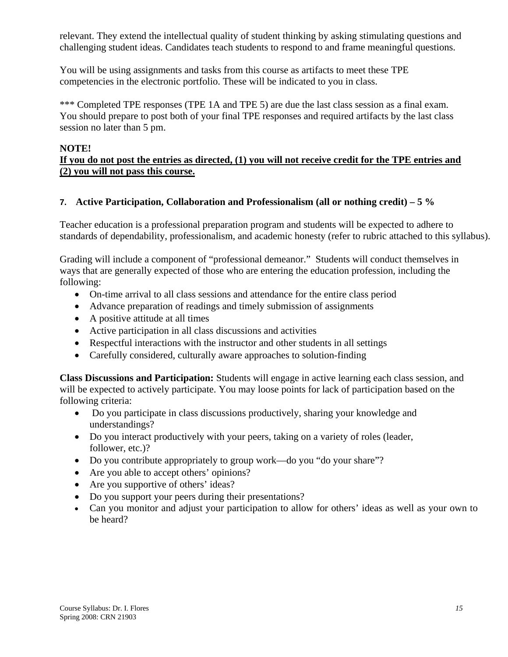relevant. They extend the intellectual quality of student thinking by asking stimulating questions and challenging student ideas. Candidates teach students to respond to and frame meaningful questions.

You will be using assignments and tasks from this course as artifacts to meet these TPE competencies in the electronic portfolio. These will be indicated to you in class.

\*\*\* Completed TPE responses (TPE 1A and TPE 5) are due the last class session as a final exam. You should prepare to post both of your final TPE responses and required artifacts by the last class session no later than 5 pm.

#### **NOTE! If you do not post the entries as directed, (1) you will not receive credit for the TPE entries and (2) you will not pass this course.**

## **7. Active Participation, Collaboration and Professionalism (all or nothing credit) – 5 %**

Teacher education is a professional preparation program and students will be expected to adhere to standards of dependability, professionalism, and academic honesty (refer to rubric attached to this syllabus).

Grading will include a component of "professional demeanor." Students will conduct themselves in ways that are generally expected of those who are entering the education profession, including the following:

- On-time arrival to all class sessions and attendance for the entire class period
- Advance preparation of readings and timely submission of assignments
- A positive attitude at all times
- Active participation in all class discussions and activities
- Respectful interactions with the instructor and other students in all settings
- Carefully considered, culturally aware approaches to solution-finding

**Class Discussions and Participation:** Students will engage in active learning each class session, and will be expected to actively participate. You may loose points for lack of participation based on the following criteria:

- Do you participate in class discussions productively, sharing your knowledge and understandings?
- Do you interact productively with your peers, taking on a variety of roles (leader, follower, etc.)?
- Do you contribute appropriately to group work—do you "do your share"?
- Are you able to accept others' opinions?
- Are you supportive of others' ideas?
- Do you support your peers during their presentations?
- Can you monitor and adjust your participation to allow for others' ideas as well as your own to be heard?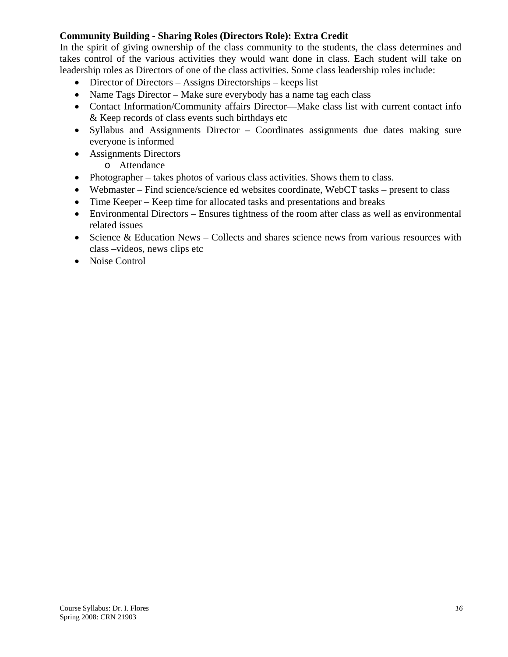## **Community Building - Sharing Roles (Directors Role): Extra Credit**

In the spirit of giving ownership of the class community to the students, the class determines and takes control of the various activities they would want done in class. Each student will take on leadership roles as Directors of one of the class activities. Some class leadership roles include:

- Director of Directors Assigns Directorships keeps list
- Name Tags Director Make sure everybody has a name tag each class
- Contact Information/Community affairs Director—Make class list with current contact info & Keep records of class events such birthdays etc
- Syllabus and Assignments Director Coordinates assignments due dates making sure everyone is informed
- Assignments Directors
	- o Attendance
- Photographer takes photos of various class activities. Shows them to class.
- Webmaster Find science/science ed websites coordinate, WebCT tasks present to class
- Time Keeper Keep time for allocated tasks and presentations and breaks
- Environmental Directors Ensures tightness of the room after class as well as environmental related issues
- Science & Education News Collects and shares science news from various resources with class –videos, news clips etc
- Noise Control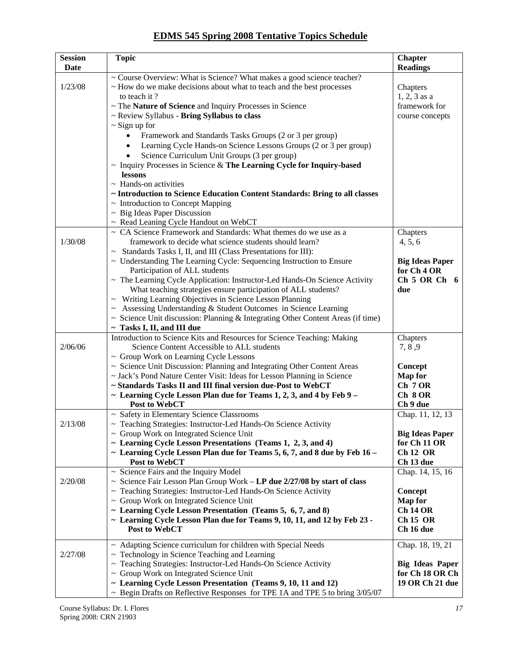## **EDMS 545 Spring 2008 Tentative Topics Schedule**

| <b>Session</b> | <b>Topic</b>                                                                                                                                                    | <b>Chapter</b>                                   |
|----------------|-----------------------------------------------------------------------------------------------------------------------------------------------------------------|--------------------------------------------------|
| Date           |                                                                                                                                                                 | <b>Readings</b>                                  |
| 1/23/08        | ~ Course Overview: What is Science? What makes a good science teacher?<br>~ How do we make decisions about what to teach and the best processes<br>to teach it? | Chapters<br>$1, 2, 3$ as a                       |
|                | ~ The Nature of Science and Inquiry Processes in Science                                                                                                        | framework for                                    |
|                | ~ Review Syllabus - Bring Syllabus to class                                                                                                                     | course concepts                                  |
|                | $\sim$ Sign up for                                                                                                                                              |                                                  |
|                | Framework and Standards Tasks Groups (2 or 3 per group)                                                                                                         |                                                  |
|                | Learning Cycle Hands-on Science Lessons Groups (2 or 3 per group)                                                                                               |                                                  |
|                | Science Curriculum Unit Groups (3 per group)                                                                                                                    |                                                  |
|                | $\sim$ Inquiry Processes in Science & The Learning Cycle for Inquiry-based<br>lessons                                                                           |                                                  |
|                | $\sim$ Hands-on activities                                                                                                                                      |                                                  |
|                | ~ Introduction to Science Education Content Standards: Bring to all classes                                                                                     |                                                  |
|                | ~ Introduction to Concept Mapping                                                                                                                               |                                                  |
|                | $~\sim~$ Big Ideas Paper Discussion                                                                                                                             |                                                  |
|                | ~ Read Leaning Cycle Handout on WebCT                                                                                                                           |                                                  |
|                | ~ CA Science Framework and Standards: What themes do we use as a                                                                                                | Chapters                                         |
| 1/30/08        | framework to decide what science students should learn?                                                                                                         | 4, 5, 6                                          |
|                | ~ Standards Tasks I, II, and III (Class Presentations for III):                                                                                                 |                                                  |
|                | ~ Understanding The Learning Cycle: Sequencing Instruction to Ensure<br>Participation of ALL students                                                           | <b>Big Ideas Paper</b><br>for Ch <sub>4</sub> OR |
|                | ~ The Learning Cycle Application: Instructor-Led Hands-On Science Activity                                                                                      | Ch 5 OR Ch 6                                     |
|                | What teaching strategies ensure participation of ALL students?                                                                                                  | due                                              |
|                | ~ Writing Learning Objectives in Science Lesson Planning                                                                                                        |                                                  |
|                | Assessing Understanding & Student Outcomes in Science Learning                                                                                                  |                                                  |
|                | $\sim$ Science Unit discussion: Planning & Integrating Other Content Areas (if time)                                                                            |                                                  |
|                | ~ Tasks I, II, and III due                                                                                                                                      |                                                  |
|                | Introduction to Science Kits and Resources for Science Teaching: Making                                                                                         | Chapters                                         |
| 2/06/06        | Science Content Accessible to ALL students<br>~ Group Work on Learning Cycle Lessons                                                                            | 7, 8, 9                                          |
|                | ~ Science Unit Discussion: Planning and Integrating Other Content Areas                                                                                         | Concept                                          |
|                | ~ Jack's Pond Nature Center Visit: Ideas for Lesson Planning in Science                                                                                         | <b>Map</b> for                                   |
|                | ~ Standards Tasks II and III final version due-Post to WebCT                                                                                                    | Ch 7 OR                                          |
|                | ~ Learning Cycle Lesson Plan due for Teams 1, 2, 3, and 4 by Feb $9-$                                                                                           | Ch 8 OR                                          |
|                | Post to WebCT                                                                                                                                                   | Ch 9 due                                         |
|                | ~ Safety in Elementary Science Classrooms                                                                                                                       | Chap. 11, 12, 13                                 |
| 2/13/08        | Teaching Strategies: Instructor-Led Hands-On Science Activity<br>$\sim$ Group Work on Integrated Science Unit                                                   | <b>Big Ideas Paper</b>                           |
|                | ~ Learning Cycle Lesson Presentations (Teams 1, 2, 3, and 4)                                                                                                    | for Ch 11 OR                                     |
|                | $\sim$ Learning Cycle Lesson Plan due for Teams 5, 6, 7, and 8 due by Feb 16 –                                                                                  | <b>Ch 12 OR</b>                                  |
|                | Post to WebCT                                                                                                                                                   | Ch 13 due                                        |
|                | $\sim$ Science Fairs and the Inquiry Model                                                                                                                      | Chap. 14, 15, 16                                 |
| 2/20/08        | $\sim$ Science Fair Lesson Plan Group Work - LP due 2/27/08 by start of class                                                                                   |                                                  |
|                | ~ Teaching Strategies: Instructor-Led Hands-On Science Activity                                                                                                 | Concept                                          |
|                | ~ Group Work on Integrated Science Unit<br>~ Learning Cycle Lesson Presentation (Teams 5, 6, 7, and 8)                                                          | <b>Map</b> for<br><b>Ch 14 OR</b>                |
|                | ~ Learning Cycle Lesson Plan due for Teams 9, 10, 11, and 12 by Feb 23 -                                                                                        | <b>Ch 15 OR</b>                                  |
|                | Post to WebCT                                                                                                                                                   | Ch 16 due                                        |
|                | ~ Adapting Science curriculum for children with Special Needs                                                                                                   | Chap. 18, 19, 21                                 |
| 2/27/08        | $\sim$ Technology in Science Teaching and Learning                                                                                                              |                                                  |
|                | ~ Teaching Strategies: Instructor-Led Hands-On Science Activity                                                                                                 | <b>Big Ideas Paper</b>                           |
|                | ~ Group Work on Integrated Science Unit                                                                                                                         | for Ch 18 OR Ch                                  |
|                | ~ Learning Cycle Lesson Presentation (Teams 9, 10, 11 and 12)<br>~ Begin Drafts on Reflective Responses for TPE 1A and TPE 5 to bring 3/05/07                   | 19 OR Ch 21 due                                  |
|                |                                                                                                                                                                 |                                                  |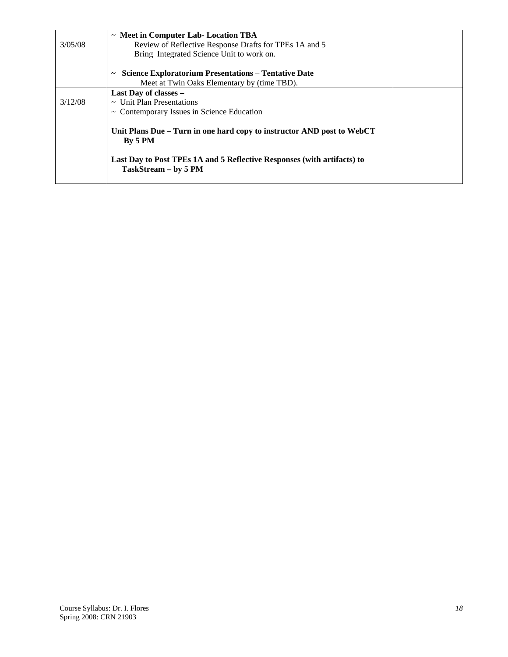|         | $\sim$ Meet in Computer Lab-Location TBA                                                        |  |
|---------|-------------------------------------------------------------------------------------------------|--|
| 3/05/08 | Review of Reflective Response Drafts for TPEs 1A and 5                                          |  |
|         | Bring Integrated Science Unit to work on.                                                       |  |
|         | <b>Science Exploratorium Presentations – Tentative Date</b><br>$\tilde{}$                       |  |
|         | Meet at Twin Oaks Elementary by (time TBD).                                                     |  |
|         | Last Day of classes -                                                                           |  |
| 3/12/08 | $\sim$ Unit Plan Presentations                                                                  |  |
|         | $\sim$ Contemporary Issues in Science Education                                                 |  |
|         | Unit Plans Due – Turn in one hard copy to instructor AND post to WebCT<br>By 5 PM               |  |
|         | Last Day to Post TPEs 1A and 5 Reflective Responses (with artifacts) to<br>TaskStream - by 5 PM |  |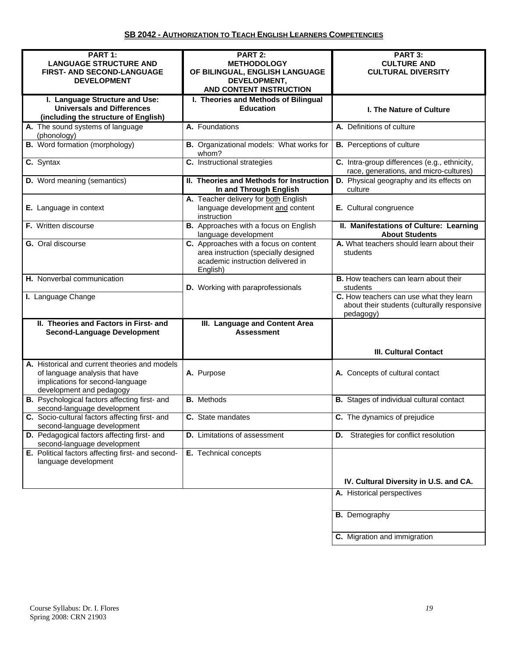| PART 1:<br><b>LANGUAGE STRUCTURE AND</b><br>FIRST- AND SECOND-LANGUAGE                                                                          | PART 2:<br><b>METHODOLOGY</b><br>OF BILINGUAL, ENGLISH LANGUAGE                                                                | PART 3:<br><b>CULTURE AND</b><br><b>CULTURAL DIVERSITY</b>                                          |
|-------------------------------------------------------------------------------------------------------------------------------------------------|--------------------------------------------------------------------------------------------------------------------------------|-----------------------------------------------------------------------------------------------------|
| <b>DEVELOPMENT</b>                                                                                                                              | DEVELOPMENT,<br>AND CONTENT INSTRUCTION                                                                                        |                                                                                                     |
| I. Language Structure and Use:<br><b>Universals and Differences</b><br>(including the structure of English)                                     | I. Theories and Methods of Bilingual<br><b>Education</b>                                                                       | <b>I. The Nature of Culture</b>                                                                     |
| A. The sound systems of language<br>(phonology)                                                                                                 | A. Foundations                                                                                                                 | A. Definitions of culture                                                                           |
| <b>B.</b> Word formation (morphology)                                                                                                           | B. Organizational models: What works for<br>whom?                                                                              | <b>B.</b> Perceptions of culture                                                                    |
| C. Syntax                                                                                                                                       | C. Instructional strategies                                                                                                    | C. Intra-group differences (e.g., ethnicity,<br>race, generations, and micro-cultures)              |
| <b>D.</b> Word meaning (semantics)                                                                                                              | II. Theories and Methods for Instruction<br>In and Through English                                                             | D. Physical geography and its effects on<br>culture                                                 |
| E. Language in context                                                                                                                          | A. Teacher delivery for both English<br>language development and content<br>instruction                                        | E. Cultural congruence                                                                              |
| F. Written discourse                                                                                                                            | B. Approaches with a focus on English<br>language development                                                                  | II. Manifestations of Culture: Learning<br><b>About Students</b>                                    |
| <b>G.</b> Oral discourse                                                                                                                        | C. Approaches with a focus on content<br>area instruction (specially designed<br>academic instruction delivered in<br>English) | A. What teachers should learn about their<br>students                                               |
| H. Nonverbal communication                                                                                                                      | D. Working with paraprofessionals                                                                                              | <b>B.</b> How teachers can learn about their<br>students                                            |
| I. Language Change                                                                                                                              |                                                                                                                                | C. How teachers can use what they learn<br>about their students (culturally responsive<br>pedagogy) |
| II. Theories and Factors in First- and<br><b>Second-Language Development</b>                                                                    | <b>III. Language and Content Area</b><br><b>Assessment</b>                                                                     |                                                                                                     |
|                                                                                                                                                 |                                                                                                                                | <b>III. Cultural Contact</b>                                                                        |
| A. Historical and current theories and models<br>of language analysis that have<br>implications for second-language<br>development and pedagogy | A. Purpose                                                                                                                     | A. Concepts of cultural contact                                                                     |
| B. Psychological factors affecting first- and<br>second-language development                                                                    | <b>B.</b> Methods                                                                                                              | <b>B.</b> Stages of individual cultural contact                                                     |
| C. Socio-cultural factors affecting first- and<br>second-language development                                                                   | C. State mandates                                                                                                              | C. The dynamics of prejudice                                                                        |
| D. Pedagogical factors affecting first- and<br>second-language development                                                                      | <b>D.</b> Limitations of assessment                                                                                            | <b>D.</b> Strategies for conflict resolution                                                        |
| E. Political factors affecting first- and second-<br>language development                                                                       | E. Technical concepts                                                                                                          |                                                                                                     |
|                                                                                                                                                 |                                                                                                                                | IV. Cultural Diversity in U.S. and CA.                                                              |
|                                                                                                                                                 |                                                                                                                                | A. Historical perspectives                                                                          |
|                                                                                                                                                 |                                                                                                                                | <b>B.</b> Demography                                                                                |
|                                                                                                                                                 |                                                                                                                                | C. Migration and immigration                                                                        |